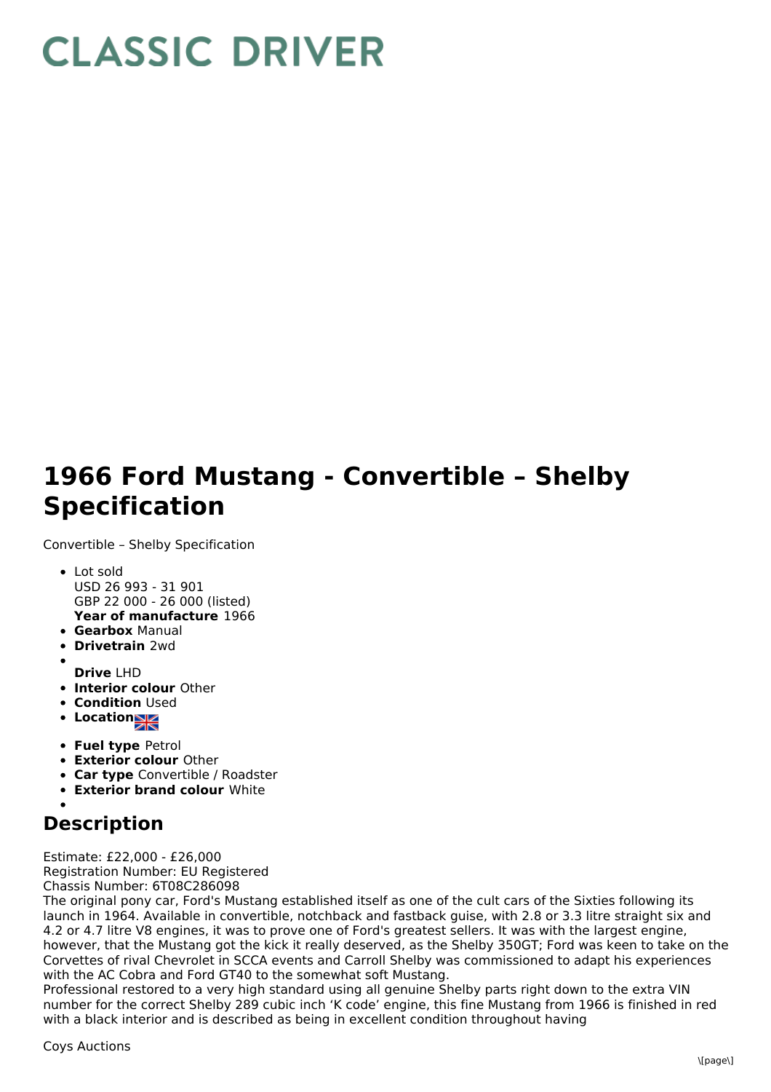## **CLASSIC DRIVER**

## **1966 Ford Mustang - Convertible – Shelby Specification**

Convertible – Shelby Specification

- **Year of manufacture** 1966 Lot sold USD 26 993 - 31 901 GBP 22 000 - 26 000 (listed)
- **Gearbox** Manual
- **Drivetrain** 2wd
- **Drive** LHD
- **Interior colour** Other
- **Condition Used**
- Location
- **Fuel type** Petrol
- **Exterior colour** Other
- **Car type** Convertible / Roadster
- **Exterior brand colour** White

## **Description**

Estimate: £22,000 - £26,000 Registration Number: EU Registered Chassis Number: 6T08C286098

The original pony car, Ford's Mustang established itself as one of the cult cars of the Sixties following its launch in 1964. Available in convertible, notchback and fastback guise, with 2.8 or 3.3 litre straight six and 4.2 or 4.7 litre V8 engines, it was to prove one of Ford's greatest sellers. It was with the largest engine, however, that the Mustang got the kick it really deserved, as the Shelby 350GT; Ford was keen to take on the Corvettes of rival Chevrolet in SCCA events and Carroll Shelby was commissioned to adapt his experiences with the AC Cobra and Ford GT40 to the somewhat soft Mustang.

Professional restored to a very high standard using all genuine Shelby parts right down to the extra VIN number for the correct Shelby 289 cubic inch 'K code' engine, this fine Mustang from 1966 is finished in red with a black interior and is described as being in excellent condition throughout having

Coys Auctions